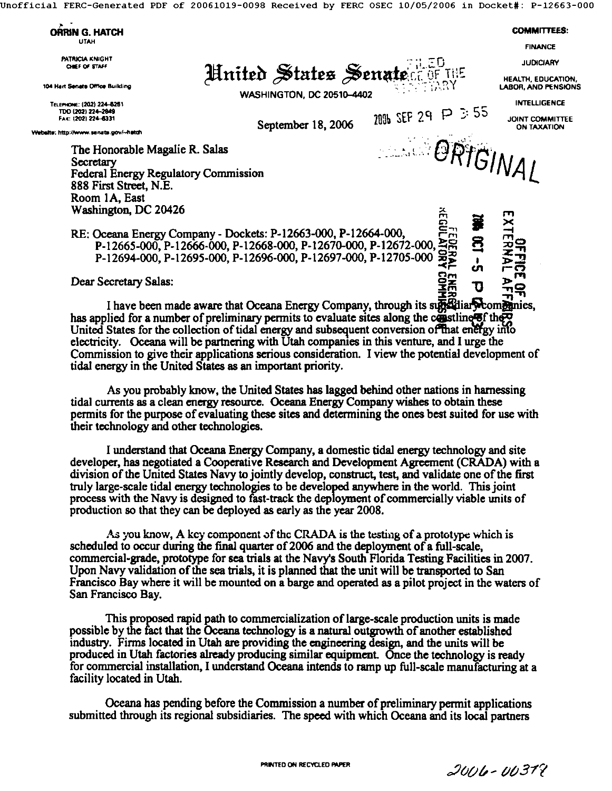Jnofficial FERC-Generated PDF of 20061019-0098 Received by FERC OSEC *10/05/2006* in Docket#: P-12663-000



I have been made aware that Oceana Energy Company, through its substitution panies, has applied for a number of preliminary permits to evaluate sites along the constitution.  $\frac{1}{2}$ United States for the collection of tidal energy and subsequent conversion of that energy into electricity. Oceana will be partnering with Utah companies in this venture, and I urge the Commission to give their applications serious consideration. I view the potential development of tidal energy in the United States as an important priority.

As you probably know, the United States has lagged behind other nations in harnessing tidal currents as a clean energy resource. Oceana Energy Company wishes to obtain these permits for the purpose of evaluating these sites and determining the ones best suited for use with their technology and other technologies.

I understand that Oceana Energy Company, a domestic tidal energy technology and site developer, has negotiated a Cooperative Research and Development Agreement (CRADA) with a division of the United States Navy to jointly develop, construct, test, and validate one of the first truly large-scale tidal energy technologies to be developed anywhere in the world. This joint process with the Navy is designed to fast-track the deployment of commercially viable units of production so that they can be deployed as early as the year 2008.

As you know, A kcy component of the CRADA is the testing of a prototype which is scheduled to occur during the final quarter of 2006 and the deployment of a full-scale, commercial-grade, prototype for sea trials at the Navy's South Florida Testing Facilities in 2007. Upon Navy validation of the sea trials, it is planned that the unit will be transported to San Francisco Bay where it will be mounted on a barge and operated as a pilot project in the waters of San Francisco **Bay.** 

This proposed rapid path to commercialization of large-acale production units is made possible by the fact that the Oceana technology is a natural outgrowth of another established industry. Firms located in Utah are providing the engineering design, and the units will be preduced in Utah factories already producing similar equipment. Once the technology is ready for commercial installation, I understand Oceana intends to ramp up full-scale manufacturing at a facility located in Utah.

Oceana has pending before the Commission a number of preliminary permit applications submitted through its regional subsidiaries. The speed with which Oceana and its local partners

 $2006 - 00379$